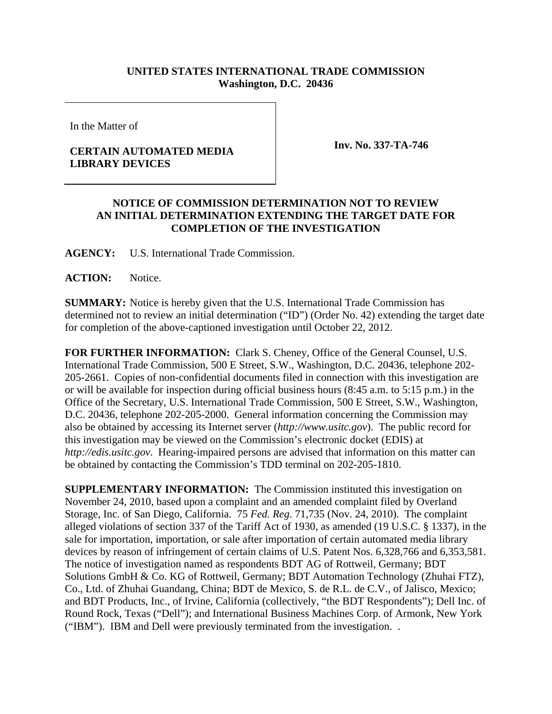## **UNITED STATES INTERNATIONAL TRADE COMMISSION Washington, D.C. 20436**

In the Matter of

## **CERTAIN AUTOMATED MEDIA LIBRARY DEVICES**

**Inv. No. 337-TA-746**

## **NOTICE OF COMMISSION DETERMINATION NOT TO REVIEW AN INITIAL DETERMINATION EXTENDING THE TARGET DATE FOR COMPLETION OF THE INVESTIGATION**

**AGENCY:** U.S. International Trade Commission.

**ACTION:** Notice.

**SUMMARY:** Notice is hereby given that the U.S. International Trade Commission has determined not to review an initial determination ("ID") (Order No. 42) extending the target date for completion of the above-captioned investigation until October 22, 2012.

**FOR FURTHER INFORMATION:** Clark S. Cheney, Office of the General Counsel, U.S. International Trade Commission, 500 E Street, S.W., Washington, D.C. 20436, telephone 202- 205-2661. Copies of non-confidential documents filed in connection with this investigation are or will be available for inspection during official business hours (8:45 a.m. to 5:15 p.m.) in the Office of the Secretary, U.S. International Trade Commission, 500 E Street, S.W., Washington, D.C. 20436, telephone 202-205-2000. General information concerning the Commission may also be obtained by accessing its Internet server (*http://www.usitc.gov*). The public record for this investigation may be viewed on the Commission's electronic docket (EDIS) at *http://edis.usitc.gov*. Hearing-impaired persons are advised that information on this matter can be obtained by contacting the Commission's TDD terminal on 202-205-1810.

**SUPPLEMENTARY INFORMATION:** The Commission instituted this investigation on November 24, 2010, based upon a complaint and an amended complaint filed by Overland Storage, Inc. of San Diego, California. 75 *Fed. Reg*. 71,735 (Nov. 24, 2010). The complaint alleged violations of section 337 of the Tariff Act of 1930, as amended (19 U.S.C. § 1337), in the sale for importation, importation, or sale after importation of certain automated media library devices by reason of infringement of certain claims of U.S. Patent Nos. 6,328,766 and 6,353,581. The notice of investigation named as respondents BDT AG of Rottweil, Germany; BDT Solutions GmbH & Co. KG of Rottweil, Germany; BDT Automation Technology (Zhuhai FTZ), Co., Ltd. of Zhuhai Guandang, China; BDT de Mexico, S. de R.L. de C.V., of Jalisco, Mexico; and BDT Products, Inc., of Irvine, California (collectively, "the BDT Respondents"); Dell Inc. of Round Rock, Texas ("Dell"); and International Business Machines Corp. of Armonk, New York ("IBM"). IBM and Dell were previously terminated from the investigation. .